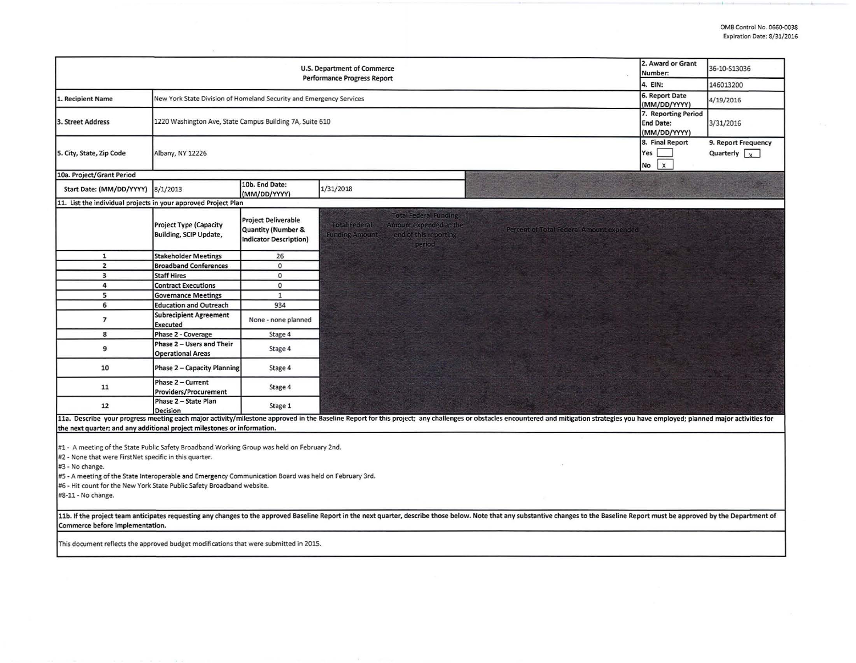| U.S. Department of Commerce<br><b>Performance Progress Report</b>                                                                                                                                                                                                                                                                                                                                                                                                                                                                                                                                                                                      |                                                                     |                                                                                              |                                                                                                                                                                                        |  | 36-10-S13036<br>146013200 |  |  |  |
|--------------------------------------------------------------------------------------------------------------------------------------------------------------------------------------------------------------------------------------------------------------------------------------------------------------------------------------------------------------------------------------------------------------------------------------------------------------------------------------------------------------------------------------------------------------------------------------------------------------------------------------------------------|---------------------------------------------------------------------|----------------------------------------------------------------------------------------------|----------------------------------------------------------------------------------------------------------------------------------------------------------------------------------------|--|---------------------------|--|--|--|
| 1. Recipient Name                                                                                                                                                                                                                                                                                                                                                                                                                                                                                                                                                                                                                                      | New York State Division of Homeland Security and Emergency Services | 4. EIN:<br>6. Report Date                                                                    | 4/19/2016                                                                                                                                                                              |  |                           |  |  |  |
| 3. Street Address                                                                                                                                                                                                                                                                                                                                                                                                                                                                                                                                                                                                                                      | 1220 Washington Ave, State Campus Building 7A, Suite 610            | (MM/DD/YYYY)<br>7. Reporting Period<br><b>End Date:</b><br>(MM/DD/YYYY)                      | 3/31/2016                                                                                                                                                                              |  |                           |  |  |  |
| 5. City, State, Zip Code                                                                                                                                                                                                                                                                                                                                                                                                                                                                                                                                                                                                                               | Albany, NY 12226                                                    | 8. Final Report<br>Yes<br>$\mathsf X$<br>No                                                  | 9. Report Frequency<br>Quarterly $\sqrt{x}$                                                                                                                                            |  |                           |  |  |  |
| 10a. Project/Grant Period                                                                                                                                                                                                                                                                                                                                                                                                                                                                                                                                                                                                                              |                                                                     |                                                                                              |                                                                                                                                                                                        |  |                           |  |  |  |
| Start Date: (MM/DD/YYYY)                                                                                                                                                                                                                                                                                                                                                                                                                                                                                                                                                                                                                               | 8/1/2013                                                            | 10b. End Date:<br>(MM/DD/YYYY)                                                               | 1/31/2018                                                                                                                                                                              |  |                           |  |  |  |
| 11. List the individual projects in your approved Project Plan                                                                                                                                                                                                                                                                                                                                                                                                                                                                                                                                                                                         |                                                                     |                                                                                              |                                                                                                                                                                                        |  |                           |  |  |  |
|                                                                                                                                                                                                                                                                                                                                                                                                                                                                                                                                                                                                                                                        | <b>Project Type (Capacity</b><br>Building, SCIP Update,             | <b>Project Deliverable</b><br><b>Quantity (Number &amp;</b><br><b>Indicator Description)</b> | <b>Total Federal Funding</b><br><b>Total Federal</b><br>Amount expended at the<br>Percent of Total Federal Amount expended<br><b>Funding Amount</b><br>end of this reporting<br>period |  |                           |  |  |  |
| $\mathbf{1}$                                                                                                                                                                                                                                                                                                                                                                                                                                                                                                                                                                                                                                           | <b>Stakeholder Meetings</b>                                         | 26                                                                                           |                                                                                                                                                                                        |  |                           |  |  |  |
| $\overline{2}$                                                                                                                                                                                                                                                                                                                                                                                                                                                                                                                                                                                                                                         | <b>Broadband Conferences</b>                                        | $\circ$                                                                                      |                                                                                                                                                                                        |  |                           |  |  |  |
| 3                                                                                                                                                                                                                                                                                                                                                                                                                                                                                                                                                                                                                                                      | <b>Staff Hires</b>                                                  | $\mathbf{0}$                                                                                 |                                                                                                                                                                                        |  |                           |  |  |  |
| 4                                                                                                                                                                                                                                                                                                                                                                                                                                                                                                                                                                                                                                                      | <b>Contract Executions</b>                                          | $\circ$                                                                                      |                                                                                                                                                                                        |  |                           |  |  |  |
| 5                                                                                                                                                                                                                                                                                                                                                                                                                                                                                                                                                                                                                                                      | <b>Governance Meetings</b>                                          | $\mathbf 1$                                                                                  |                                                                                                                                                                                        |  |                           |  |  |  |
| 6                                                                                                                                                                                                                                                                                                                                                                                                                                                                                                                                                                                                                                                      | <b>Education and Outreach</b>                                       | 934                                                                                          |                                                                                                                                                                                        |  |                           |  |  |  |
| 7                                                                                                                                                                                                                                                                                                                                                                                                                                                                                                                                                                                                                                                      | <b>Subrecipient Agreement</b><br>Executed                           | None - none planned                                                                          |                                                                                                                                                                                        |  |                           |  |  |  |
| 8                                                                                                                                                                                                                                                                                                                                                                                                                                                                                                                                                                                                                                                      | Phase 2 - Coverage                                                  | Stage 4                                                                                      |                                                                                                                                                                                        |  |                           |  |  |  |
| 9                                                                                                                                                                                                                                                                                                                                                                                                                                                                                                                                                                                                                                                      | Phase 2 - Users and Their<br><b>Operational Areas</b>               | Stage 4                                                                                      |                                                                                                                                                                                        |  |                           |  |  |  |
| 10                                                                                                                                                                                                                                                                                                                                                                                                                                                                                                                                                                                                                                                     | Phase 2 - Capacity Planning                                         | Stage 4                                                                                      |                                                                                                                                                                                        |  |                           |  |  |  |
| 11                                                                                                                                                                                                                                                                                                                                                                                                                                                                                                                                                                                                                                                     | Phase 2 - Current<br><b>Providers/Procurement</b>                   | Stage 4                                                                                      |                                                                                                                                                                                        |  |                           |  |  |  |
| 12                                                                                                                                                                                                                                                                                                                                                                                                                                                                                                                                                                                                                                                     | Phase 2 - State Plan<br><b>Decision</b>                             | Stage 1                                                                                      |                                                                                                                                                                                        |  |                           |  |  |  |
| 11a. Describe your progress meeting each major activity/milestone approved in the Baseline Report for this project; any challenges or obstacles encountered and mitigation strategies you have employed; planned major activit<br>the next quarter; and any additional project milestones or information.                                                                                                                                                                                                                                                                                                                                              |                                                                     |                                                                                              |                                                                                                                                                                                        |  |                           |  |  |  |
| #1 - A meeting of the State Public Safety Broadband Working Group was held on February 2nd.<br>#2 - None that were FirstNet specific in this quarter.<br>#3 - No change.<br>#5 - A meeting of the State Interoperable and Emergency Communication Board was held on February 3rd.<br>#6 - Hit count for the New York State Public Safety Broadband website.<br>#8-11 - No change.<br>11b. If the project team anticipates requesting any changes to the approved Baseline Report in the next quarter, describe those below. Note that any substantive changes to the Baseline Report must be approved by the Depart<br>Commerce before implementation. |                                                                     |                                                                                              |                                                                                                                                                                                        |  |                           |  |  |  |
| This document reflects the approved budget modifications that were submitted in 2015.                                                                                                                                                                                                                                                                                                                                                                                                                                                                                                                                                                  |                                                                     |                                                                                              |                                                                                                                                                                                        |  |                           |  |  |  |
|                                                                                                                                                                                                                                                                                                                                                                                                                                                                                                                                                                                                                                                        |                                                                     |                                                                                              |                                                                                                                                                                                        |  |                           |  |  |  |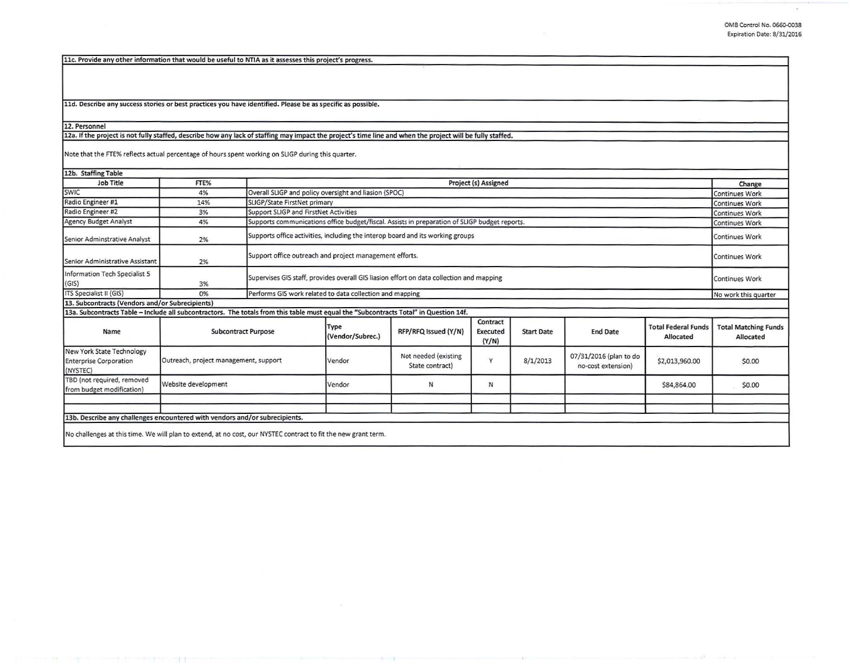11c. Provide any other information that would be useful to NTIA as it assesses this project's progress.

11d. Describe any success stories or best practices you have identified. Please be as specific as possible.

## 12. Personnel

12a. If the project is not fully staffed, describe how any lack of staffing may impact the project's time line and when the project will be fully staffed.

Note that the FTE% reflects actual percentage of hours spent working on SLIGP during this quarter.

| 12b. Staffing Table                                                                                                                   |                                       |  |                                                                                                         |                                         |                               |                   |                                              |                                         |                                          |
|---------------------------------------------------------------------------------------------------------------------------------------|---------------------------------------|--|---------------------------------------------------------------------------------------------------------|-----------------------------------------|-------------------------------|-------------------|----------------------------------------------|-----------------------------------------|------------------------------------------|
| Job Title                                                                                                                             | FTE%                                  |  | Project (s) Assigned                                                                                    |                                         |                               |                   |                                              |                                         | Change                                   |
| SWIC                                                                                                                                  | 4%                                    |  | Overall SLIGP and policy oversight and liasion (SPOC)                                                   |                                         |                               |                   |                                              |                                         | <b>Continues Work</b>                    |
| Radio Engineer #1                                                                                                                     | 14%                                   |  | SLIGP/State FirstNet primary                                                                            |                                         |                               |                   |                                              |                                         | <b>Continues Work</b>                    |
| Radio Engineer #2                                                                                                                     | 3%                                    |  | Support SLIGP and FirstNet Activities<br><b>Continues Work</b>                                          |                                         |                               |                   |                                              |                                         |                                          |
| Agency Budget Analyst                                                                                                                 | 4%                                    |  | Supports communications office budget/fiscal. Assists in preparation of SLIGP budget reports.           |                                         |                               |                   |                                              |                                         | <b>Continues Work</b>                    |
| Senior Adminstrative Analyst                                                                                                          | 2%                                    |  | Supports office activities, including the interop board and its working groups<br><b>Continues Work</b> |                                         |                               |                   |                                              |                                         |                                          |
| Senior Administrative Assistant                                                                                                       | 2%                                    |  | Support office outreach and project management efforts.<br>Continues Work                               |                                         |                               |                   |                                              |                                         |                                          |
| Information Tech Specialist 5<br>(GIS)                                                                                                | 3%                                    |  | Supervises GIS staff, provides overall GIS liasion effort on data collection and mapping                |                                         |                               |                   |                                              |                                         | Continues Work                           |
| ITS Specialist II (GIS)                                                                                                               | 0%                                    |  | Performs GIS work related to data collection and mapping<br>No work this quarter                        |                                         |                               |                   |                                              |                                         |                                          |
| 13. Subcontracts (Vendors and/or Subrecipients)                                                                                       |                                       |  |                                                                                                         |                                         |                               |                   |                                              |                                         |                                          |
| 13a. Subcontracts Table - Include all subcontractors. The totals from this table must equal the "Subcontracts Total" in Question 14f. |                                       |  |                                                                                                         |                                         |                               |                   |                                              |                                         |                                          |
| Name                                                                                                                                  | <b>Subcontract Purpose</b>            |  | Type<br>(Vendor/Subrec.)                                                                                | RFP/RFQ Issued (Y/N)                    | Contract<br>Executed<br>(Y/N) | <b>Start Date</b> | <b>End Date</b>                              | <b>Total Federal Funds</b><br>Allocated | <b>Total Matching Funds</b><br>Allocated |
| New York State Technology<br><b>Enterprise Corporation</b><br>(NYSTEC)                                                                | Outreach, project management, support |  | Vendor                                                                                                  | Not needed (existing<br>State contract) | Y                             | 8/1/2013          | 07/31/2016 (plan to do<br>no-cost extension) | \$2,013,960.00                          | \$0.00                                   |
| TBD (not required, removed<br>from budget modification)                                                                               | Website development                   |  | Vendor                                                                                                  | N                                       | N                             |                   |                                              | \$84,864.00                             | \$0.00                                   |
|                                                                                                                                       |                                       |  |                                                                                                         |                                         |                               |                   |                                              |                                         |                                          |
|                                                                                                                                       |                                       |  |                                                                                                         |                                         |                               |                   |                                              |                                         |                                          |
| 13b. Describe any challenges encountered with vendors and/or subrecipients.                                                           |                                       |  |                                                                                                         |                                         |                               |                   |                                              |                                         |                                          |
| No challenges at this time. We will plan to extend, at no cost, our NYSTEC contract to fit the new grant term.                        |                                       |  |                                                                                                         |                                         |                               |                   |                                              |                                         |                                          |